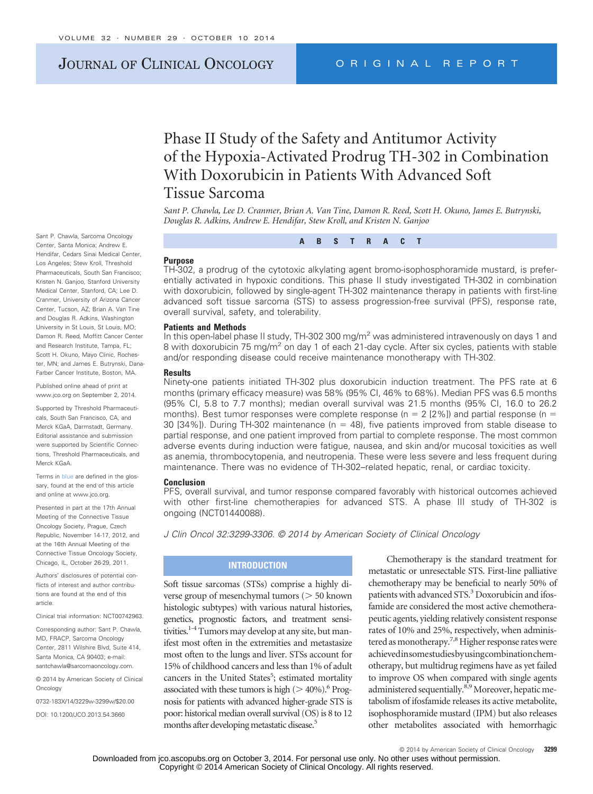# JOURNAL OF CLINICAL ONCOLOGY ORIGINAL REPORT

# Phase II Study of the Safety and Antitumor Activity of the Hypoxia-Activated Prodrug TH-302 in Combination With Doxorubicin in Patients With Advanced Soft Tissue Sarcoma

*Sant P. Chawla, Lee D. Cranmer, Brian A. Van Tine, Damon R. Reed, Scott H. Okuno, James E. Butrynski, Douglas R. Adkins, Andrew E. Hendifar, Stew Kroll, and Kristen N. Ganjoo*

**ABSTRACT**

### **Purpose**

TH-302, a prodrug of the cytotoxic alkylating agent bromo-isophosphoramide mustard, is preferentially activated in hypoxic conditions. This phase II study investigated TH-302 in combination with doxorubicin, followed by single-agent TH-302 maintenance therapy in patients with first-line advanced soft tissue sarcoma (STS) to assess progression-free survival (PFS), response rate, overall survival, safety, and tolerability.

#### **Patients and Methods**

In this open-label phase II study, TH-302 300 mg/m<sup>2</sup> was administered intravenously on days 1 and 8 with doxorubicin 75 mg/m<sup>2</sup> on day 1 of each 21-day cycle. After six cycles, patients with stable and/or responding disease could receive maintenance monotherapy with TH-302.

#### **Results**

Ninety-one patients initiated TH-302 plus doxorubicin induction treatment. The PFS rate at 6 months (primary efficacy measure) was 58% (95% CI, 46% to 68%). Median PFS was 6.5 months (95% CI, 5.8 to 7.7 months); median overall survival was 21.5 months (95% CI, 16.0 to 26.2 months). Best tumor responses were complete response ( $n = 2$  [2%]) and partial response ( $n =$ 30 [34%]). During TH-302 maintenance (n = 48), five patients improved from stable disease to partial response, and one patient improved from partial to complete response. The most common adverse events during induction were fatigue, nausea, and skin and/or mucosal toxicities as well as anemia, thrombocytopenia, and neutropenia. These were less severe and less frequent during maintenance. There was no evidence of TH-302–related hepatic, renal, or cardiac toxicity.

#### **Conclusion**

PFS, overall survival, and tumor response compared favorably with historical outcomes achieved with other first-line chemotherapies for advanced STS. A phase III study of TH-302 is ongoing (NCT01440088).

*J Clin Oncol 32:3299-3306. © 2014 by American Society of Clinical Oncology*

# **INTRODUCTION**

Soft tissue sarcomas (STSs) comprise a highly diverse group of mesenchymal tumors  $($  > 50 known histologic subtypes) with various natural histories, genetics, prognostic factors, and treatment sensitivities.<sup>1-4</sup> Tumors may develop at any site, but manifest most often in the extremities and metastasize most often to the lungs and liver. STSs account for 15% of childhood cancers and less than 1% of adult cancers in the United States<sup>5</sup>; estimated mortality associated with these tumors is high  $(>40\%)$ .<sup>6</sup> Prognosis for patients with advanced higher-grade STS is poor: historical median overall survival (OS) is 8 to 12 months after developing metastatic disease.<sup>5</sup>

Chemotherapy is the standard treatment for metastatic or unresectable STS. First-line palliative chemotherapy may be beneficial to nearly 50% of patients with advanced STS.<sup>3</sup> Doxorubicin and ifosfamide are considered the most active chemotherapeutic agents, yielding relatively consistent response rates of 10% and 25%, respectively, when administered as monotherapy.<sup>7,8</sup> Higher response rates were achievedinsomestudiesbyusingcombinationchemotherapy, but multidrug regimens have as yet failed to improve OS when compared with single agents administered sequentially.<sup>8,9</sup> Moreover, hepatic metabolism of ifosfamide releases its active metabolite, isophosphoramide mustard (IPM) but also releases other metabolites associated with hemorrhagic

Sant P. Chawla, Sarcoma Oncology Center, Santa Monica; Andrew E. Hendifar, Cedars Sinai Medical Center, Los Angeles; Stew Kroll, Threshold Pharmaceuticals, South San Francisco; Kristen N. Ganjoo, Stanford University Medical Center, Stanford, CA; Lee D. Cranmer, University of Arizona Cancer Center, Tucson, AZ; Brian A. Van Tine and Douglas R. Adkins, Washington University in St Louis, St Louis, MO; Damon R. Reed, Moffitt Cancer Center and Research Institute, Tampa, FL; Scott H. Okuno, Mayo Clinic, Rochester, MN; and James E. Butrynski, Dana-Farber Cancer Institute, Boston, MA.

Published online ahead of print at www.jco.org on September 2, 2014.

Supported by Threshold Pharmaceuticals, South San Francisco, CA, and Merck KGaA, Darmstadt, Germany. Editorial assistance and submission were supported by Scientific Connections, Threshold Pharmaceuticals, and Merck KGaA.

Terms in blue are defined in the glossary, found at the end of this article and online at [www.jco.org.](http://www.jco.org)

Presented in part at the 17th Annual Meeting of the Connective Tissue Oncology Society, Prague, Czech Republic, November 14-17, 2012, and at the 16th Annual Meeting of the Connective Tissue Oncology Society, Chicago, IL, October 26-29, 2011.

Authors' disclosures of potential conflicts of interest and author contributions are found at the end of this article.

Clinical trial information: NCT00742963.

Corresponding author: Sant P. Chawla, MD, FRACP, Sarcoma Oncology Center, 2811 Wilshire Blvd, Suite 414, Santa Monica, CA 90403; e-mail: santchawla@sarcomaoncology.com.

© 2014 by American Society of Clinical **Oncology** 

0732-183X/14/3229w-3299w/\$20.00

DOI: 10.1200/JCO.2013.54.3660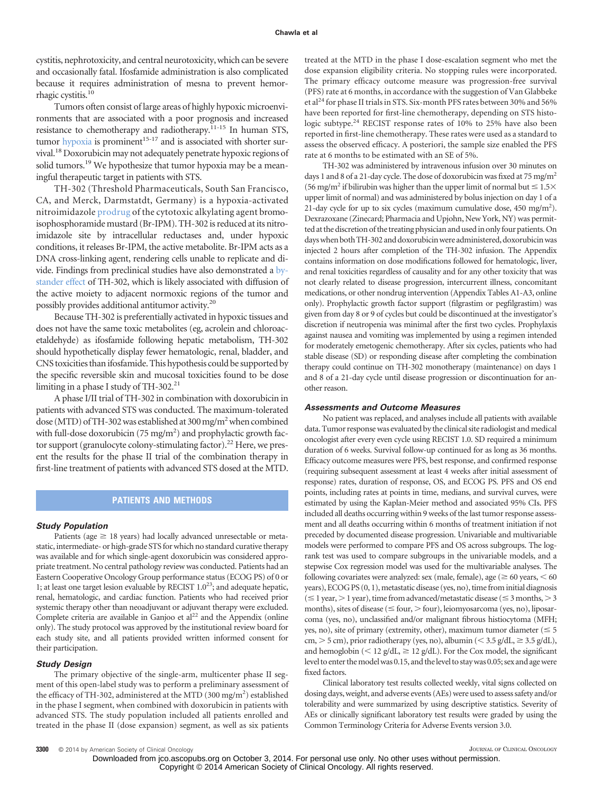cystitis, nephrotoxicity, and central neurotoxicity, which can be severe and occasionally fatal. Ifosfamide administration is also complicated because it requires administration of mesna to prevent hemorrhagic cystitis.10

Tumors often consist of large areas of highly hypoxic microenvironments that are associated with a poor prognosis and increased resistance to chemotherapy and radiotherapy.11-15 In human STS, tumor hypoxia is prominent<sup>15-17</sup> and is associated with shorter survival.18Doxorubicin may not adequately penetrate hypoxic regions of solid tumors.<sup>19</sup> We hypothesize that tumor hypoxia may be a meaningful therapeutic target in patients with STS.

TH-302 (Threshold Pharmaceuticals, South San Francisco, CA, and Merck, Darmstatdt, Germany) is a hypoxia-activated nitroimidazole prodrug of the cytotoxic alkylating agent bromoisophosphoramide mustard (Br-IPM). TH-302 is reduced at its nitroimidazole site by intracellular reductases and, under hypoxic conditions, it releases Br-IPM, the active metabolite. Br-IPM acts as a DNA cross-linking agent, rendering cells unable to replicate and divide. Findings from preclinical studies have also demonstrated a bystander effect of TH-302, which is likely associated with diffusion of the active moiety to adjacent normoxic regions of the tumor and possibly provides additional antitumor activity.20

Because TH-302 is preferentially activated in hypoxic tissues and does not have the same toxic metabolites (eg, acrolein and chloroacetaldehyde) as ifosfamide following hepatic metabolism, TH-302 should hypothetically display fewer hematologic, renal, bladder, and CNS toxicities than ifosfamide. This hypothesis could be supported by the specific reversible skin and mucosal toxicities found to be dose limiting in a phase I study of TH-302.<sup>21</sup>

A phase I/II trial of TH-302 in combination with doxorubicin in patients with advanced STS was conducted. The maximum-tolerated dose (MTD) of TH-302 was established at 300 mg/m<sup>2</sup> when combined with full-dose doxorubicin ( $75 \text{ mg/m}^2$ ) and prophylactic growth factor support (granulocyte colony-stimulating factor).<sup>22</sup> Here, we present the results for the phase II trial of the combination therapy in first-line treatment of patients with advanced STS dosed at the MTD.

## **PATIENTS AND METHODS**

#### *Study Population*

Patients (age  $\geq$  18 years) had locally advanced unresectable or metastatic, intermediate- or high-grade STS for which no standard curative therapy was available and for which single-agent doxorubicin was considered appropriate treatment. No central pathology review was conducted. Patients had an Eastern Cooperative Oncology Group performance status (ECOG PS) of 0 or 1; at least one target lesion evaluable by RECIST  $1.0^{23}$ ; and adequate hepatic, renal, hematologic, and cardiac function. Patients who had received prior systemic therapy other than neoadjuvant or adjuvant therapy were excluded. Complete criteria are available in Ganjoo et  $al<sup>22</sup>$  and the Appendix (online only). The study protocol was approved by the institutional review board for each study site, and all patients provided written informed consent for their participation.

#### *Study Design*

The primary objective of the single-arm, multicenter phase II segment of this open-label study was to perform a preliminary assessment of the efficacy of TH-302, administered at the MTD (300 mg/m<sup>2</sup>) established in the phase I segment, when combined with doxorubicin in patients with advanced STS. The study population included all patients enrolled and treated in the phase II (dose expansion) segment, as well as six patients

treated at the MTD in the phase I dose-escalation segment who met the dose expansion eligibility criteria. No stopping rules were incorporated. The primary efficacy outcome measure was progression-free survival (PFS) rate at 6 months, in accordance with the suggestion of Van Glabbeke et al<sup>24</sup> for phase II trials in STS. Six-month PFS rates between 30% and 56% have been reported for first-line chemotherapy, depending on STS histologic subtype.<sup>24</sup> RECIST response rates of 10% to 25% have also been reported in first-line chemotherapy. These rates were used as a standard to assess the observed efficacy. A posteriori, the sample size enabled the PFS rate at 6 months to be estimated with an SE of 5%.

TH-302 was administered by intravenous infusion over 30 minutes on days 1 and 8 of a 21-day cycle. The dose of doxorubicin was fixed at 75 mg/m<sup>2</sup> (56 mg/m<sup>2</sup> if bilirubin was higher than the upper limit of normal but  $\leq 1.5\times$ upper limit of normal) and was administered by bolus injection on day 1 of a 21-day cycle for up to six cycles (maximum cumulative dose,  $450 \text{ mg/m}^2$ ). Dexrazoxane (Zinecard; Pharmacia and Upjohn, New York, NY) was permitted at the discretion of the treating physician and usedin onlyfour patients. On days when both TH-302 and doxorubicin were administered, doxorubicin was injected 2 hours after completion of the TH-302 infusion. The Appendix contains information on dose modifications followed for hematologic, liver, and renal toxicities regardless of causality and for any other toxicity that was not clearly related to disease progression, intercurrent illness, concomitant medications, or other nondrug intervention (Appendix Tables A1-A3, online only). Prophylactic growth factor support (filgrastim or pegfilgrastim) was given from day 8 or 9 of cycles but could be discontinued at the investigator's discretion if neutropenia was minimal after the first two cycles. Prophylaxis against nausea and vomiting was implemented by using a regimen intended for moderately emetogenic chemotherapy. After six cycles, patients who had stable disease (SD) or responding disease after completing the combination therapy could continue on TH-302 monotherapy (maintenance) on days 1 and 8 of a 21-day cycle until disease progression or discontinuation for another reason.

## *Assessments and Outcome Measures*

No patient was replaced, and analyses include all patients with available data. Tumor response was evaluated by the clinical site radiologist and medical oncologist after every even cycle using RECIST 1.0. SD required a minimum duration of 6 weeks. Survival follow-up continued for as long as 36 months. Efficacy outcome measures were PFS, best response, and confirmed response (requiring subsequent assessment at least 4 weeks after initial assessment of response) rates, duration of response, OS, and ECOG PS. PFS and OS end points, including rates at points in time, medians, and survival curves, were estimated by using the Kaplan-Meier method and associated 95% CIs. PFS included all deaths occurring within 9 weeks of the last tumor response assessment and all deaths occurring within 6 months of treatment initiation if not preceded by documented disease progression. Univariable and multivariable models were performed to compare PFS and OS across subgroups. The logrank test was used to compare subgroups in the univariable models, and a stepwise Cox regression model was used for the multivariable analyses. The following covariates were analyzed: sex (male, female), age ( $\geq 60$  years,  $\leq 60$ years), ECOG PS (0, 1), metastatic disease (yes, no), time from initial diagnosis  $( \leq 1$  year,  $> 1$  year), time from advanced/metastatic disease ( $\leq 3$  months,  $> 3$ months), sites of disease ( $\leq$  four,  $>$  four), leiomyosarcoma (yes, no), liposarcoma (yes, no), unclassified and/or malignant fibrous histiocytoma (MFH; yes, no), site of primary (extremity, other), maximum tumor diameter ( $\leq 5$ cm,  $>$  5 cm), prior radiotherapy (yes, no), albumin ( $<$  3.5 g/dL,  $\geq$  3.5 g/dL), and hemoglobin ( $\leq 12$  g/dL,  $\geq 12$  g/dL). For the Cox model, the significant level to enter the model was 0.15, and the level to stay was 0.05; sex and age were fixed factors.

Clinical laboratory test results collected weekly, vital signs collected on dosing days, weight, and adverse events (AEs) were used to assess safety and/or tolerability and were summarized by using descriptive statistics. Severity of AEs or clinically significant laboratory test results were graded by using the Common Terminology Criteria for Adverse Events version 3.0.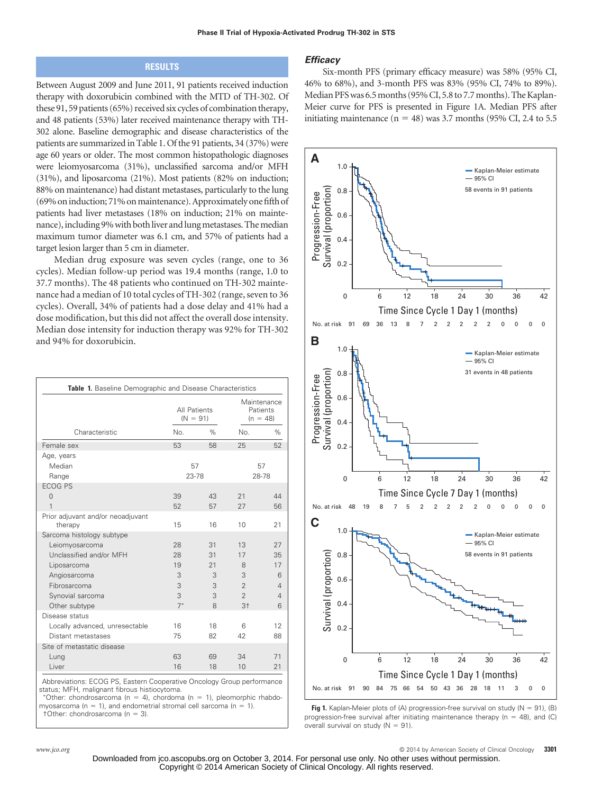# **RESULTS**

Between August 2009 and June 2011, 91 patients received induction therapy with doxorubicin combined with the MTD of TH-302. Of these 91, 59 patients (65%) received six cycles of combination therapy, and 48 patients (53%) later received maintenance therapy with TH-302 alone. Baseline demographic and disease characteristics of the patients are summarized in Table 1. Of the 91 patients, 34 (37%) were age 60 years or older. The most common histopathologic diagnoses were leiomyosarcoma (31%), unclassified sarcoma and/or MFH (31%), and liposarcoma (21%). Most patients (82% on induction; 88% on maintenance) had distant metastases, particularly to the lung (69% on induction; 71% on maintenance). Approximately one fifth of patients had liver metastases (18% on induction; 21% on maintenance), including 9% with both liver and lung metastases. The median maximum tumor diameter was 6.1 cm, and 57% of patients had a target lesion larger than 5 cm in diameter.

Median drug exposure was seven cycles (range, one to 36 cycles). Median follow-up period was 19.4 months (range, 1.0 to 37.7 months). The 48 patients who continued on TH-302 maintenance had a median of 10 total cycles of TH-302 (range, seven to 36 cycles). Overall, 34% of patients had a dose delay and 41% had a dose modification, but this did not affect the overall dose intensity. Median dose intensity for induction therapy was 92% for TH-302 and 94% for doxorubicin.

|                                              | All Patients<br>$(N = 91)$ |      | Maintenance<br>Patients<br>$(n = 48)$ |                |
|----------------------------------------------|----------------------------|------|---------------------------------------|----------------|
| Characteristic                               | No.                        | $\%$ | No.                                   | %              |
| Female sex                                   | 53                         | 58   | 25                                    | 52             |
| Age, years                                   |                            |      |                                       |                |
| Median                                       | 57                         |      |                                       | 57             |
| Range                                        | 23-78                      |      | 28-78                                 |                |
| <b>ECOG PS</b>                               |                            |      |                                       |                |
| $\Omega$                                     | 39                         | 43   | 21                                    | 44             |
| 1                                            | 52                         | 57   | 27                                    | 56             |
| Prior adjuvant and/or neoadjuvant<br>therapy | 15                         | 16   | 10                                    | 21             |
| Sarcoma histology subtype                    |                            |      |                                       |                |
| Leiomyosarcoma                               | 28                         | 31   | 13                                    | 27             |
| Unclassified and/or MFH                      | 28                         | 31   | 17                                    | 35             |
| Liposarcoma                                  | 19                         | 21   | 8                                     | 17             |
| Angiosarcoma                                 | 3                          | 3    | 3                                     | 6              |
| Fibrosarcoma                                 | 3                          | 3    | $\overline{2}$                        | $\overline{4}$ |
| Synovial sarcoma                             | 3                          | 3    | $\overline{2}$                        | $\overline{4}$ |
| Other subtype                                | $7*$                       | 8    | 3 <sup>†</sup>                        | 6              |
| Disease status                               |                            |      |                                       |                |
| Locally advanced, unresectable               | 16                         | 18   | 6                                     | 12             |
| Distant metastases                           | 75                         | 82   | 42                                    | 88             |
| Site of metastatic disease                   |                            |      |                                       |                |
| Lung                                         | 63                         | 69   | 34                                    | 71             |
| Liver                                        | 16                         | 18   | 10                                    | 21             |

Abbreviations: ECOG PS, Eastern Cooperative Oncology Group performance status; MFH, malignant fibrous histiocytoma.

\*Other: chondrosarcoma ( $n = 4$ ), chordoma ( $n = 1$ ), pleomorphic rhabdomyosarcoma ( $n = 1$ ), and endometrial stromal cell sarcoma ( $n = 1$ ).  $\uparrow$ Other: chondrosarcoma (n = 3).

#### *Efficacy*

Six-month PFS (primary efficacy measure) was 58% (95% CI, 46% to 68%), and 3-month PFS was 83% (95% CI, 74% to 89%). Median PFS was 6.5 months (95% CI, 5.8 to 7.7 months). The Kaplan-Meier curve for PFS is presented in Figure 1A. Median PFS after initiating maintenance  $(n = 48)$  was 3.7 months (95% CI, 2.4 to 5.5)



**Fig 1.** Kaplan-Meier plots of (A) progression-free survival on study ( $N = 91$ ), (B) progression-free survival after initiating maintenance therapy (n = 48), and (C) overall survival on study ( $N = 91$ ).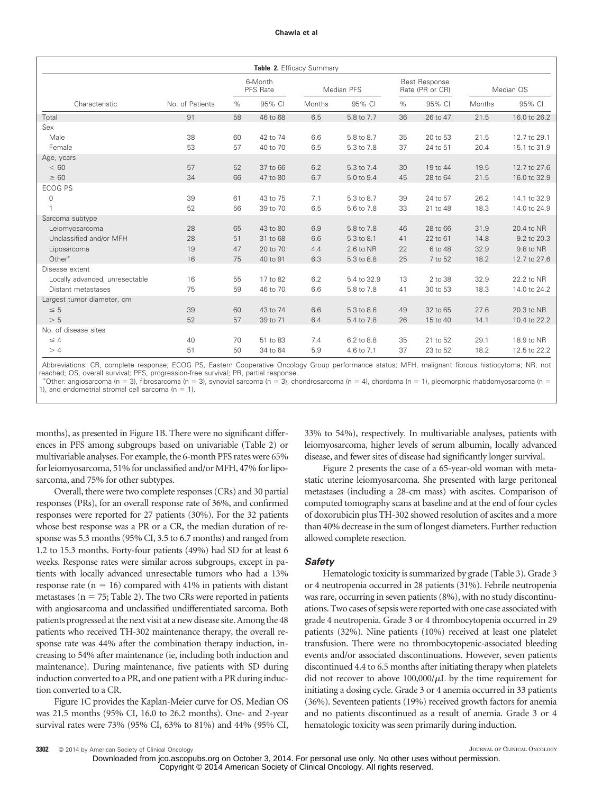|                                |                 |    | 6-Month<br>PFS Rate |        | Median PFS  |    | <b>Best Response</b><br>Rate (PR or CR) |        | Median OS    |
|--------------------------------|-----------------|----|---------------------|--------|-------------|----|-----------------------------------------|--------|--------------|
| Characteristic                 | No. of Patients | %  | 95% CI              | Months | 95% CI      | %  | 95% CI                                  | Months | 95% CI       |
| Total                          | 91              | 58 | 46 to 68            | 6.5    | 5.8 to 7.7  | 36 | 26 to 47                                | 21.5   | 16.0 to 26.2 |
| Sex                            |                 |    |                     |        |             |    |                                         |        |              |
| Male                           | 38              | 60 | 42 to 74            | 6.6    | 5.8 to 8.7  | 35 | 20 to 53                                | 21.5   | 12.7 to 29.1 |
| Female                         | 53              | 57 | 40 to 70            | 6.5    | 5.3 to 7.8  | 37 | 24 to 51                                | 20.4   | 15.1 to 31.9 |
| Age, years                     |                 |    |                     |        |             |    |                                         |        |              |
| < 60                           | 57              | 52 | 37 to 66            | 6.2    | 5.3 to 7.4  | 30 | 19 to 44                                | 19.5   | 12.7 to 27.6 |
| $\geq 60$                      | 34              | 66 | 47 to 80            | 6.7    | 5.0 to 9.4  | 45 | 28 to 64                                | 21.5   | 16.0 to 32.9 |
| <b>ECOG PS</b>                 |                 |    |                     |        |             |    |                                         |        |              |
| $\mathbf 0$                    | 39              | 61 | 43 to 75            | 7.1    | 5.3 to 8.7  | 39 | 24 to 57                                | 26.2   | 14.1 to 32.9 |
|                                | 52              | 56 | 39 to 70            | 6.5    | 5.6 to 7.8  | 33 | 21 to 48                                | 18.3   | 14.0 to 24.9 |
| Sarcoma subtype                |                 |    |                     |        |             |    |                                         |        |              |
| Leiomyosarcoma                 | 28              | 65 | 43 to 80            | 6.9    | 5.8 to 7.8  | 46 | 28 to 66                                | 31.9   | 20.4 to NR   |
| Unclassified and/or MFH        | 28              | 51 | 31 to 68            | 6.6    | 5.3 to 8.1  | 41 | 22 to 61                                | 14.8   | 9.2 to 20.3  |
| Liposarcoma                    | 19              | 47 | 20 to 70            | 4.4    | $2.6$ to NR | 22 | 6 to 48                                 | 32.9   | 9.8 to NR    |
| Other*                         | 16              | 75 | 40 to 91            | 6.3    | 5.3 to 8.8  | 25 | 7 to 52                                 | 18.2   | 12.7 to 27.6 |
| Disease extent                 |                 |    |                     |        |             |    |                                         |        |              |
| Locally advanced, unresectable | 16              | 55 | 17 to 82            | 6.2    | 5.4 to 32.9 | 13 | 2 to 38                                 | 32.9   | 22.2 to NR   |
| Distant metastases             | 75              | 59 | 46 to 70            | 6.6    | 5.8 to 7.8  | 41 | 30 to 53                                | 18.3   | 14.0 to 24.2 |
| Largest tumor diameter, cm     |                 |    |                     |        |             |    |                                         |        |              |
| $\leq 5$                       | 39              | 60 | 43 to 74            | 6.6    | 5.3 to 8.6  | 49 | 32 to 65                                | 27.6   | 20.3 to NR   |
| > 5                            | 52              | 57 | 39 to 71            | 6.4    | 5.4 to 7.8  | 26 | 15 to 40                                | 14.1   | 10.4 to 22.2 |
| No. of disease sites           |                 |    |                     |        |             |    |                                         |        |              |
| $\leq 4$                       | 40              | 70 | 51 to 83            | 7.4    | 6.2 to 8.8  | 35 | 21 to 52                                | 29.1   | 18.9 to NR   |
| >4                             | 51              | 50 | 34 to 64            | 5.9    | 4.6 to 7.1  | 37 | 23 to 52                                | 18.2   | 12.5 to 22.2 |

Abbreviations: CR, complete response; ECOG PS, Eastern Cooperative Oncology Group performance status; MFH, malignant fibrous histiocytoma; NR, not reached; OS, overall survival; PFS, progression-free survival; PR, partial response.

"Other: angiosarcoma (n = 3), fibrosarcoma (n = 3), synovial sarcoma (n = 3), chondrosarcoma (n = 4), chordoma (n = 1), pleomorphic rhabdomyosarcoma (n = 1), and endometrial stromal cell sarcoma ( $n = 1$ ).

months), as presented in Figure 1B. There were no significant differences in PFS among subgroups based on univariable (Table 2) or multivariable analyses. For example, the 6-month PFS rates were 65% for leiomyosarcoma, 51% for unclassified and/or MFH, 47% for liposarcoma, and 75% for other subtypes.

Overall, there were two complete responses (CRs) and 30 partial responses (PRs), for an overall response rate of 36%, and confirmed responses were reported for 27 patients (30%). For the 32 patients whose best response was a PR or a CR, the median duration of response was 5.3 months (95% CI, 3.5 to 6.7 months) and ranged from 1.2 to 15.3 months. Forty-four patients (49%) had SD for at least 6 weeks. Response rates were similar across subgroups, except in patients with locally advanced unresectable tumors who had a 13% response rate ( $n = 16$ ) compared with 41% in patients with distant metastases ( $n = 75$ ; Table 2). The two CRs were reported in patients with angiosarcoma and unclassified undifferentiated sarcoma. Both patients progressed at the next visit at a new disease site. Among the 48 patients who received TH-302 maintenance therapy, the overall response rate was 44% after the combination therapy induction, increasing to 54% after maintenance (ie, including both induction and maintenance). During maintenance, five patients with SD during induction converted to a PR, and one patient with a PR during induction converted to a CR.

Figure 1C provides the Kaplan-Meier curve for OS. Median OS was 21.5 months (95% CI, 16.0 to 26.2 months). One- and 2-year survival rates were 73% (95% CI, 63% to 81%) and 44% (95% CI, 33% to 54%), respectively. In multivariable analyses, patients with leiomyosarcoma, higher levels of serum albumin, locally advanced disease, and fewer sites of disease had significantly longer survival.

Figure 2 presents the case of a 65-year-old woman with metastatic uterine leiomyosarcoma. She presented with large peritoneal metastases (including a 28-cm mass) with ascites. Comparison of computed tomography scans at baseline and at the end of four cycles of doxorubicin plus TH-302 showed resolution of ascites and a more than 40% decrease in the sum of longest diameters. Further reduction allowed complete resection.

## *Safety*

Hematologic toxicity is summarized by grade (Table 3). Grade 3 or 4 neutropenia occurred in 28 patients (31%). Febrile neutropenia was rare, occurring in seven patients (8%), with no study discontinuations. Two cases of sepsis were reported with one case associated with grade 4 neutropenia. Grade 3 or 4 thrombocytopenia occurred in 29 patients (32%). Nine patients (10%) received at least one platelet transfusion. There were no thrombocytopenic-associated bleeding events and/or associated discontinuations. However, seven patients discontinued 4.4 to 6.5 months after initiating therapy when platelets did not recover to above  $100,000/\mu$ L by the time requirement for initiating a dosing cycle. Grade 3 or 4 anemia occurred in 33 patients (36%). Seventeen patients (19%) received growth factors for anemia and no patients discontinued as a result of anemia. Grade 3 or 4 hematologic toxicity was seen primarily during induction.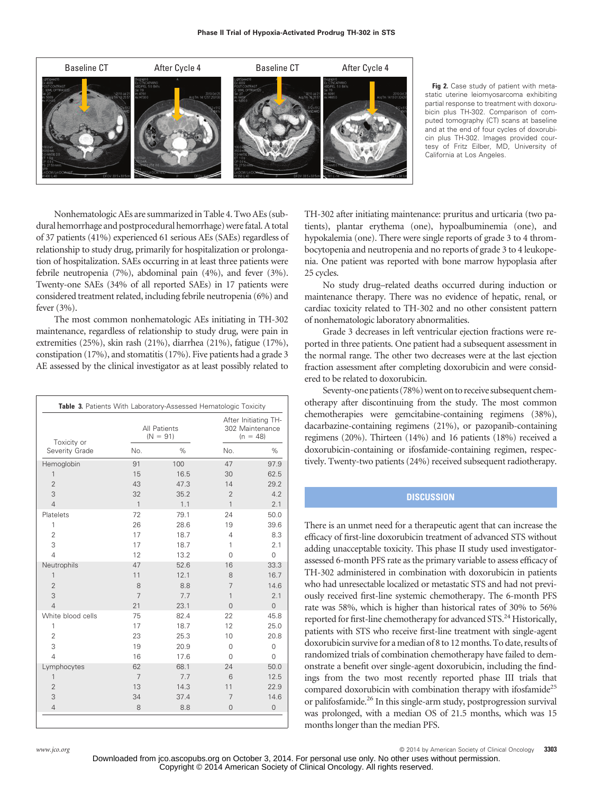

**Fig 2.** Case study of patient with metastatic uterine leiomyosarcoma exhibiting partial response to treatment with doxorubicin plus TH-302. Comparison of computed tomography (CT) scans at baseline and at the end of four cycles of doxorubicin plus TH-302. Images provided courtesy of Fritz Eilber, MD, University of California at Los Angeles.

Nonhematologic AEs are summarized in Table 4. Two AEs (subdural hemorrhage and postprocedural hemorrhage) were fatal. A total of 37 patients (41%) experienced 61 serious AEs (SAEs) regardless of relationship to study drug, primarily for hospitalization or prolongation of hospitalization. SAEs occurring in at least three patients were febrile neutropenia (7%), abdominal pain (4%), and fever (3%). Twenty-one SAEs (34% of all reported SAEs) in 17 patients were considered treatment related, including febrile neutropenia (6%) and fever (3%).

The most common nonhematologic AEs initiating in TH-302 maintenance, regardless of relationship to study drug, were pain in extremities (25%), skin rash (21%), diarrhea (21%), fatigue (17%), constipation (17%), and stomatitis (17%). Five patients had a grade 3 AE assessed by the clinical investigator as at least possibly related to

| Toxicity or       |              | All Patients<br>$(N = 91)$ | After Initiating TH-<br>302 Maintenance<br>$(n = 48)$ |                     |  |
|-------------------|--------------|----------------------------|-------------------------------------------------------|---------------------|--|
| Severity Grade    | No.          | $\%$                       | No.                                                   | %                   |  |
| Hemoglobin        | 91           | 100                        | 47                                                    | 97.9                |  |
| 1                 | 15           | 16.5                       | 30                                                    | 62.5                |  |
| $\overline{2}$    | 43           | 47.3                       | 14                                                    | 29.2                |  |
| 3                 | 32           | 35.2                       | $\overline{2}$                                        | 4.2                 |  |
| $\overline{4}$    | $\mathbf{1}$ | 1.1                        | 1                                                     | 2.1                 |  |
| Platelets         | 72           | 79.1                       | 24                                                    | 50.0                |  |
| 1                 | 26           | 28.6                       | 19                                                    | 39.6                |  |
| $\overline{2}$    | 17           | 18.7                       | 4                                                     | 8.3                 |  |
| 3                 | 17           | 18.7                       | 1                                                     | 2.1                 |  |
| $\overline{4}$    | 12           | 13.2                       | 0                                                     | 0                   |  |
| Neutrophils       | 47           | 52.6                       | 16                                                    | 33.3                |  |
| 1                 | 11           | 12.1                       | 8                                                     | 16.7                |  |
| $\overline{2}$    | 8            | 8.8                        | 7                                                     | 14.6                |  |
| 3                 | 7            | 7.7                        | 1                                                     | 2.1                 |  |
| $\overline{4}$    | 21           | 23.1                       | $\Omega$                                              | $\Omega$            |  |
| White blood cells | 75           | 82.4                       | 22                                                    | 45.8                |  |
| 1                 | 17           | 18.7                       | 12                                                    | 25.0                |  |
| $\overline{2}$    | 23           | 25.3                       | 10                                                    | 20.8                |  |
| 3                 | 19           | 20.9                       | $\Omega$                                              | $\mathbf 0$         |  |
| $\overline{4}$    | 16           | 17.6                       | 0                                                     | $\Omega$            |  |
| Lymphocytes       | 62           | 68.1                       | 24                                                    | 50.0                |  |
| 1                 | 7            | 7.7                        | 6                                                     | 12.5                |  |
| $\overline{2}$    | 13           | 14.3                       | 11                                                    | 22.9                |  |
| 3                 | 34           | 37.4                       | 7                                                     | 14.6                |  |
| $\overline{4}$    | 8            | 8.8                        | $\overline{0}$                                        | $\mathsf{O}\xspace$ |  |

TH-302 after initiating maintenance: pruritus and urticaria (two patients), plantar erythema (one), hypoalbuminemia (one), and hypokalemia (one). There were single reports of grade 3 to 4 thrombocytopenia and neutropenia and no reports of grade 3 to 4 leukopenia. One patient was reported with bone marrow hypoplasia after 25 cycles.

No study drug–related deaths occurred during induction or maintenance therapy. There was no evidence of hepatic, renal, or cardiac toxicity related to TH-302 and no other consistent pattern of nonhematologic laboratory abnormalities.

Grade 3 decreases in left ventricular ejection fractions were reported in three patients. One patient had a subsequent assessment in the normal range. The other two decreases were at the last ejection fraction assessment after completing doxorubicin and were considered to be related to doxorubicin.

Seventy-one patients (78%) went on to receive subsequent chemotherapy after discontinuing from the study. The most common chemotherapies were gemcitabine-containing regimens (38%), dacarbazine-containing regimens (21%), or pazopanib-containing regimens (20%). Thirteen (14%) and 16 patients (18%) received a doxorubicin-containing or ifosfamide-containing regimen, respectively. Twenty-two patients (24%) received subsequent radiotherapy.

## **DISCUSSION**

There is an unmet need for a therapeutic agent that can increase the efficacy of first-line doxorubicin treatment of advanced STS without adding unacceptable toxicity. This phase II study used investigatorassessed 6-month PFS rate as the primary variable to assess efficacy of TH-302 administered in combination with doxorubicin in patients who had unresectable localized or metastatic STS and had not previously received first-line systemic chemotherapy. The 6-month PFS rate was 58%, which is higher than historical rates of 30% to 56% reported for first-line chemotherapy for advanced STS.<sup>24</sup> Historically, patients with STS who receive first-line treatment with single-agent doxorubicin survive for a median of 8 to 12 months. To date, results of randomized trials of combination chemotherapy have failed to demonstrate a benefit over single-agent doxorubicin, including the findings from the two most recently reported phase III trials that compared doxorubicin with combination therapy with ifosfamide<sup>25</sup> or palifosfamide.<sup>26</sup> In this single-arm study, postprogression survival was prolonged, with a median OS of 21.5 months, which was 15 months longer than the median PFS.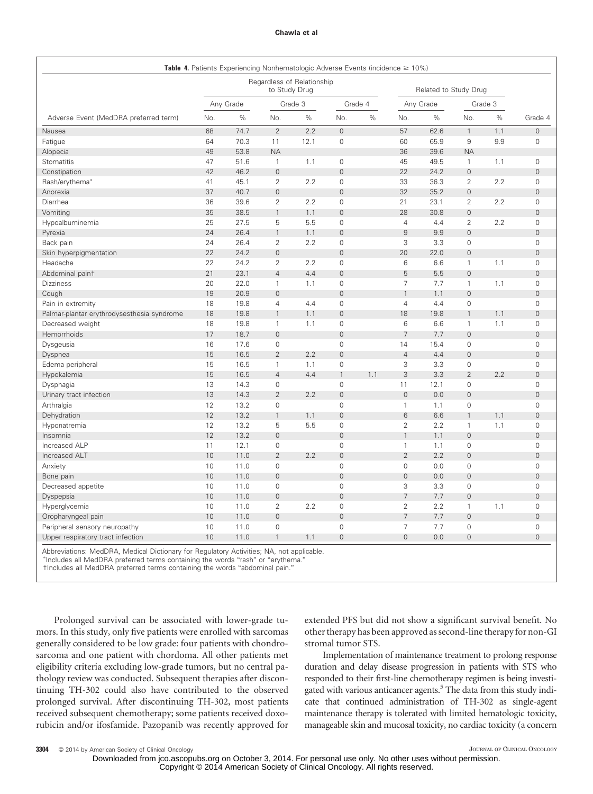|                                            |           | <b>Table 4.</b> Patients Experiencing Nonhematologic Adverse Events (incidence $\geq 10\%$ ) |                     |                            |                     |     |                     |                       |                     |     |                     |
|--------------------------------------------|-----------|----------------------------------------------------------------------------------------------|---------------------|----------------------------|---------------------|-----|---------------------|-----------------------|---------------------|-----|---------------------|
|                                            |           |                                                                                              | to Study Drug       | Regardless of Relationship |                     |     |                     | Related to Study Drug |                     |     |                     |
|                                            | Any Grade |                                                                                              | Grade 3             |                            | Grade 4             |     | Any Grade           |                       | Grade 3             |     |                     |
| Adverse Event (MedDRA preferred term)      | No.       | %                                                                                            | No.                 | %                          | No.                 | %   | No.                 | $\%$                  | No.                 | %   | Grade 4             |
| Nausea                                     | 68        | 74.7                                                                                         | $\overline{2}$      | 2.2                        | $\overline{0}$      |     | 57                  | 62.6                  | $\mathbf{1}$        | 1.1 | $\overline{0}$      |
| Fatigue                                    | 64        | 70.3                                                                                         | 11                  | 12.1                       | 0                   |     | 60                  | 65.9                  | 9                   | 9.9 | $\mathsf{O}\xspace$ |
| Alopecia                                   | 49        | 53.8                                                                                         | <b>NA</b>           |                            |                     |     | 36                  | 39.6                  | <b>NA</b>           |     |                     |
| Stomatitis                                 | 47        | 51.6                                                                                         | $\mathbf{1}$        | 1.1                        | 0                   |     | 45                  | 49.5                  | $\mathbf{1}$        | 1.1 | $\mathbf 0$         |
| Constipation                               | 42        | 46.2                                                                                         | $\overline{0}$      |                            | $\overline{0}$      |     | 22                  | 24.2                  | $\overline{0}$      |     | $\mathbf 0$         |
| Rash/erythema*                             | 41        | 45.1                                                                                         | $\overline{2}$      | 2.2                        | $\mathbf{O}$        |     | 33                  | 36.3                  | $\overline{2}$      | 2.2 | $\mathsf{O}\xspace$ |
| Anorexia                                   | 37        | 40.7                                                                                         | $\mathbf 0$         |                            | $\overline{0}$      |     | 32                  | 35.2                  | $\mathsf{O}\xspace$ |     | $\mathbf 0$         |
| Diarrhea                                   | 36        | 39.6                                                                                         | $\overline{2}$      | 2.2                        | $\mathbf{O}$        |     | 21                  | 23.1                  | $\overline{2}$      | 2.2 | $\mathsf{O}\xspace$ |
| Vomiting                                   | 35        | 38.5                                                                                         | $\mathbf{1}$        | 1.1                        | $\mathsf{O}\xspace$ |     | 28                  | 30.8                  | $\mathsf{O}\xspace$ |     | $\mathsf{O}\xspace$ |
| Hypoalbuminemia                            | 25        | 27.5                                                                                         | 5                   | 5.5                        | 0                   |     | $\overline{4}$      | 4.4                   | $\overline{2}$      | 2.2 | $\mathsf{O}\xspace$ |
| Pyrexia                                    | 24        | 26.4                                                                                         | $\mathbf{1}$        | 1.1                        | $\overline{0}$      |     | $\hbox{ }9$         | 9.9                   | $\overline{0}$      |     | $\mathsf{O}\xspace$ |
| Back pain                                  | 24        | 26.4                                                                                         | $\overline{2}$      | 2.2                        | 0                   |     | 3                   | 3.3                   | $\mathbf{O}$        |     | $\mathsf{O}\xspace$ |
| Skin hyperpigmentation                     | 22        | 24.2                                                                                         | $\mathbf 0$         |                            | $\overline{0}$      |     | 20                  | 22.0                  | $\overline{0}$      |     | $\mathbf 0$         |
| Headache                                   | 22        | 24.2                                                                                         | $\overline{2}$      | 2.2                        | $\mathbf 0$         |     | 6                   | 6.6                   | $\mathbf{1}$        | 1.1 | $\mathbf 0$         |
| Abdominal paint                            | 21        | 23.1                                                                                         | $\overline{4}$      | 4.4                        | $\mathsf{O}\xspace$ |     | 5                   | 5.5                   | $\mathsf{O}\xspace$ |     | $\mathbf 0$         |
| <b>Dizziness</b>                           | 20        | 22.0                                                                                         | $\mathbf{1}$        | 1.1                        | 0                   |     | $\overline{7}$      | 7.7                   | $\mathbf{1}$        | 1.1 | $\mathsf{O}\xspace$ |
| Cough                                      | 19        | 20.9                                                                                         | $\mathsf{O}\xspace$ |                            | $\overline{0}$      |     | $\mathbf{1}$        | 1.1                   | $\mathsf{O}\xspace$ |     | $\mathbf 0$         |
| Pain in extremity                          | 18        | 19.8                                                                                         | 4                   | 4.4                        | $\mathsf{O}\xspace$ |     | $\overline{4}$      | 4.4                   | $\mathsf{O}\xspace$ |     | $\mathsf{O}\xspace$ |
| Palmar-plantar erythrodysesthesia syndrome | 18        | 19.8                                                                                         | $\mathbf{1}$        | 1.1                        | $\mathsf{O}\xspace$ |     | 18                  | 19.8                  | $\mathbf{1}$        | 1.1 | $\mathbf 0$         |
| Decreased weight                           | 18        | 19.8                                                                                         | $\mathbf{1}$        | 1.1                        | 0                   |     | 6                   | 6.6                   | $\mathbf{1}$        | 1.1 | $\mathbf 0$         |
| Hemorrhoids                                | 17        | 18.7                                                                                         | $\mathbf 0$         |                            | $\overline{0}$      |     | $\overline{7}$      | 7.7                   | $\overline{0}$      |     | $\mathbf 0$         |
| Dysgeusia                                  | 16        | 17.6                                                                                         | $\mathsf{O}\xspace$ |                            | $\mathsf{O}\xspace$ |     | 14                  | 15.4                  | $\mathbf 0$         |     | $\mathsf{O}\xspace$ |
| Dyspnea                                    | 15        | 16.5                                                                                         | $\overline{2}$      | 2.2                        | $\mathsf{O}\xspace$ |     | $\overline{4}$      | 4.4                   | $\mathsf{O}\xspace$ |     | $\mathbf 0$         |
| Edema peripheral                           | 15        | 16.5                                                                                         | $\mathbf{1}$        | 1.1                        | 0                   |     | 3                   | 3.3                   | 0                   |     | $\mathsf{O}\xspace$ |
| Hypokalemia                                | 15        | 16.5                                                                                         | $\overline{4}$      | 4.4                        | $\mathbf{1}$        | 1.1 | 3                   | 3.3                   | $\overline{2}$      | 2.2 | $\mathsf{O}\xspace$ |
| Dysphagia                                  | 13        | 14.3                                                                                         | $\mathsf{O}\xspace$ |                            | $\overline{0}$      |     | 11                  | 12.1                  | 0                   |     | $\mathbf 0$         |
| Urinary tract infection                    | 13        | 14.3                                                                                         | $\overline{2}$      | 2.2                        | $\mathsf{O}\xspace$ |     | $\mathbf 0$         | 0.0                   | $\mathsf{O}\xspace$ |     | $\mathbf 0$         |
| Arthralgia                                 | 12        | 13.2                                                                                         | $\mathsf{O}\xspace$ |                            | $\mathbf 0$         |     | $\mathbf{1}$        | 1.1                   | $\mathsf{O}\xspace$ |     | $\mathsf{O}\xspace$ |
| Dehydration                                | 12        | 13.2                                                                                         | $\mathbf{1}$        | 1.1                        | $\overline{0}$      |     | $6\phantom{1}$      | 6.6                   | $\mathbf{1}$        | 1.1 | $\overline{0}$      |
| Hyponatremia                               | 12        | 13.2                                                                                         | 5                   | 5.5                        | $\mathbf{O}$        |     | $\overline{2}$      | 2.2                   | $\mathbf{1}$        | 1.1 | $\mathbf 0$         |
| Insomnia                                   | 12        | 13.2                                                                                         | $\mathbf 0$         |                            | $\mathsf{O}\xspace$ |     | $\mathbf{1}$        | 1.1                   | $\mathsf{O}\xspace$ |     | $\mathbf 0$         |
| Increased ALP                              | 11        | 12.1                                                                                         | $\mathbf 0$         |                            | $\mathsf{O}\xspace$ |     | $\mathbf{1}$        | 1.1                   | 0                   |     | $\mathsf{O}\xspace$ |
| Increased ALT                              | 10        | 11.0                                                                                         | $\overline{2}$      | 2.2                        | $\mathsf{O}\xspace$ |     | $\overline{2}$      | 2.2                   | $\mathsf{O}\xspace$ |     | $\mathsf{O}\xspace$ |
| Anxiety                                    | 10        | 11.0                                                                                         | $\mathbf 0$         |                            | 0                   |     | $\mathsf{O}\xspace$ | 0.0                   | 0                   |     | $\mathbf 0$         |
| Bone pain                                  | 10        | 11.0                                                                                         | $\mathbf 0$         |                            | $\mathbf 0$         |     | $\mathbf 0$         | 0.0                   | $\mathsf{O}\xspace$ |     | $\mathbf 0$         |
| Decreased appetite                         | 10        | 11.0                                                                                         | $\mathbf 0$         |                            | $\mathbf 0$         |     | 3                   | 3.3                   | $\mathbf 0$         |     | $\mathbf 0$         |
| Dyspepsia                                  | 10        | 11.0                                                                                         | $\mathbf 0$         |                            | $\overline{0}$      |     | $\overline{7}$      | 7.7                   | $\overline{0}$      |     | $\mathbf 0$         |
| Hyperglycemia                              | 10        | 11.0                                                                                         | $\overline{2}$      | 2.2                        | $\mathbf 0$         |     | $\overline{2}$      | 2.2                   | $\mathbf{1}$        | 1.1 | $\mathsf{O}\xspace$ |
| Oropharyngeal pain                         | 10        | 11.0                                                                                         | $\mathbf 0$         |                            | $\overline{0}$      |     | $\overline{7}$      | 7.7                   | $\mathsf{O}\xspace$ |     | $\mathbf 0$         |
| Peripheral sensory neuropathy              | 10        | 11.0                                                                                         | $\mathsf{O}\xspace$ |                            | $\mathbf 0$         |     | $\overline{7}$      | 7.7                   | 0                   |     | $\mathsf{O}\xspace$ |
| Upper respiratory tract infection          | 10        | 11.0                                                                                         | $\mathbf{1}$        | 1.1                        | $\mathbf{0}$        |     | $\overline{0}$      | 0.0                   | $\mathsf{O}\xspace$ |     | $\overline{0}$      |
|                                            |           |                                                                                              |                     |                            |                     |     |                     |                       |                     |     |                     |

Abbreviations: MedDRA, Medical Dictionary for Regulatory Activities; NA, not applicable.

- Includes all MedDRA preferred terms containing the words "rash" or "erythema."

†Includes all MedDRA preferred terms containing the words "abdominal pain."

Prolonged survival can be associated with lower-grade tumors. In this study, only five patients were enrolled with sarcomas generally considered to be low grade: four patients with chondrosarcoma and one patient with chordoma. All other patients met eligibility criteria excluding low-grade tumors, but no central pathology review was conducted. Subsequent therapies after discontinuing TH-302 could also have contributed to the observed prolonged survival. After discontinuing TH-302, most patients received subsequent chemotherapy; some patients received doxorubicin and/or ifosfamide. Pazopanib was recently approved for extended PFS but did not show a significant survival benefit. No other therapy has been approved as second-line therapy for non-GI stromal tumor STS.

Implementation of maintenance treatment to prolong response duration and delay disease progression in patients with STS who responded to their first-line chemotherapy regimen is being investigated with various anticancer agents.<sup>5</sup> The data from this study indicate that continued administration of TH-302 as single-agent maintenance therapy is tolerated with limited hematologic toxicity, manageable skin and mucosal toxicity, no cardiac toxicity (a concern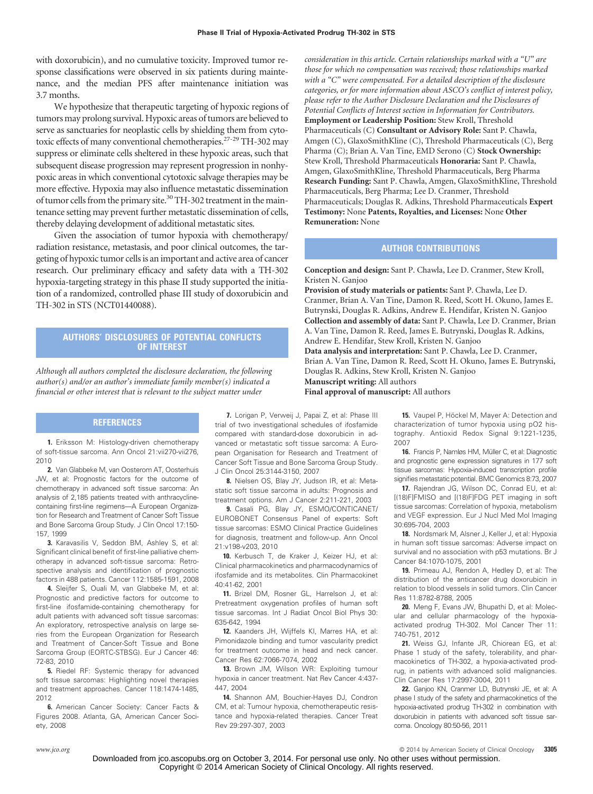with doxorubicin), and no cumulative toxicity. Improved tumor response classifications were observed in six patients during maintenance, and the median PFS after maintenance initiation was 3.7 months.

We hypothesize that therapeutic targeting of hypoxic regions of tumors may prolong survival. Hypoxic areas of tumors are believed to serve as sanctuaries for neoplastic cells by shielding them from cytotoxic effects of many conventional chemotherapies.27-29 TH-302 may suppress or eliminate cells sheltered in these hypoxic areas, such that subsequent disease progression may represent progression in nonhypoxic areas in which conventional cytotoxic salvage therapies may be more effective. Hypoxia may also influence metastatic dissemination of tumor cells from the primary site. $30$  TH-302 treatment in the maintenance setting may prevent further metastatic dissemination of cells, thereby delaying development of additional metastatic sites.

Given the association of tumor hypoxia with chemotherapy/ radiation resistance, metastasis, and poor clinical outcomes, the targeting of hypoxic tumor cells is an important and active area of cancer research. Our preliminary efficacy and safety data with a TH-302 hypoxia-targeting strategy in this phase II study supported the initiation of a randomized, controlled phase III study of doxorubicin and TH-302 in STS (NCT01440088).

## **AUTHORS' DISCLOSURES OF POTENTIAL CONFLICTS OF INTEREST**

*Although all authors completed the disclosure declaration, the following author(s) and/or an author's immediate family member(s) indicated a financial or other interest that is relevant to the subject matter under*

## **REFERENCES**

**1.** Eriksson M: Histology-driven chemotherapy of soft-tissue sarcoma. Ann Oncol 21:vii270-vii276, 2010

**2.** Van Glabbeke M, van Oosterom AT, Oosterhuis JW, et al: Prognostic factors for the outcome of chemotherapy in advanced soft tissue sarcoma: An analysis of 2,185 patients treated with anthracyclinecontaining first-line regimens—A European Organization for Research and Treatment of Cancer Soft Tissue and Bone Sarcoma Group Study. J Clin Oncol 17:150- 157, 1999

**3.** Karavasilis V, Seddon BM, Ashley S, et al: Significant clinical benefit of first-line palliative chemotherapy in advanced soft-tissue sarcoma: Retrospective analysis and identification of prognostic factors in 488 patients. Cancer 112:1585-1591, 2008

**4.** Sleijfer S, Ouali M, van Glabbeke M, et al: Prognostic and predictive factors for outcome to first-line ifosfamide-containing chemotherapy for adult patients with advanced soft tissue sarcomas: An exploratory, retrospective analysis on large series from the European Organization for Research and Treatment of Cancer-Soft Tissue and Bone Sarcoma Group (EORTC-STBSG). Eur J Cancer 46: 72-83, 2010

**5.** Riedel RF: Systemic therapy for advanced soft tissue sarcomas: Highlighting novel therapies and treatment approaches. Cancer 118:1474-1485, 2012

**6.** American Cancer Society: Cancer Facts & Figures 2008. Atlanta, GA, American Cancer Society, 2008

**7.** Lorigan P, Verweij J, Papai Z, et al: Phase III trial of two investigational schedules of ifosfamide compared with standard-dose doxorubicin in advanced or metastatic soft tissue sarcoma: A European Organisation for Research and Treatment of Cancer Soft Tissue and Bone Sarcoma Group Study. J Clin Oncol 25:3144-3150, 2007

**8.** Nielsen OS, Blay JY, Judson IR, et al: Metastatic soft tissue sarcoma in adults: Prognosis and treatment options. Am J Cancer 2:211-221, 2003

**9.** Casali PG, Blay JY, ESMO/CONTICANET/ EUROBONET Consensus Panel of experts: Soft tissue sarcomas: ESMO Clinical Practice Guidelines for diagnosis, treatment and follow-up. Ann Oncol 21:v198-v203, 2010

**10.** Kerbusch T, de Kraker J, Keizer HJ, et al: Clinical pharmacokinetics and pharmacodynamics of ifosfamide and its metabolites. Clin Pharmacokinet 40:41-62, 2001

**11.** Brizel DM, Rosner GL, Harrelson J, et al: Pretreatment oxygenation profiles of human soft tissue sarcomas. Int J Radiat Oncol Biol Phys 30: 635-642, 1994

**12.** Kaanders JH, Wijffels KI, Marres HA, et al: Pimonidazole binding and tumor vascularity predict for treatment outcome in head and neck cancer. Cancer Res 62:7066-7074, 2002

**13.** Brown JM, Wilson WR: Exploiting tumour hypoxia in cancer treatment. Nat Rev Cancer 4:437- 447, 2004

**14.** Shannon AM, Bouchier-Hayes DJ, Condron CM, et al: Tumour hypoxia, chemotherapeutic resistance and hypoxia-related therapies. Cancer Treat Rev 29:297-307, 2003

*consideration in this article. Certain relationships marked with a "U" are those for which no compensation was received; those relationships marked with a "C" were compensated. For a detailed description of the disclosure categories, or for more information about ASCO's conflict of interest policy, please refer to the Author Disclosure Declaration and the Disclosures of Potential Conflicts of Interest section in Information for Contributors.* **Employment or Leadership Position:** Stew Kroll, Threshold Pharmaceuticals (C) **Consultant or Advisory Role:** Sant P. Chawla, Amgen (C), GlaxoSmithKline (C), Threshold Pharmaceuticals (C), Berg Pharma (C); Brian A. Van Tine, EMD Serono (C) **Stock Ownership:** Stew Kroll, Threshold Pharmaceuticals **Honoraria:** Sant P. Chawla, Amgen, GlaxoSmithKline, Threshold Pharmaceuticals, Berg Pharma **Research Funding:** Sant P. Chawla, Amgen, GlaxoSmithKline, Threshold Pharmaceuticals, Berg Pharma; Lee D. Cranmer, Threshold Pharmaceuticals; Douglas R. Adkins, Threshold Pharmaceuticals **Expert Testimony:** None **Patents, Royalties, and Licenses:** None **Other Remuneration:** None

## **AUTHOR CONTRIBUTIONS**

**Conception and design:** Sant P. Chawla, Lee D. Cranmer, Stew Kroll, Kristen N. Ganjoo

**Provision of study materials or patients:** Sant P. Chawla, Lee D. Cranmer, Brian A. Van Tine, Damon R. Reed, Scott H. Okuno, James E. Butrynski, Douglas R. Adkins, Andrew E. Hendifar, Kristen N. Ganjoo **Collection and assembly of data:** Sant P. Chawla, Lee D. Cranmer, Brian A. Van Tine, Damon R. Reed, James E. Butrynski, Douglas R. Adkins, Andrew E. Hendifar, Stew Kroll, Kristen N. Ganjoo

**Data analysis and interpretation:** Sant P. Chawla, Lee D. Cranmer, Brian A. Van Tine, Damon R. Reed, Scott H. Okuno, James E. Butrynski, Douglas R. Adkins, Stew Kroll, Kristen N. Ganjoo **Manuscript writing:** All authors

**Final approval of manuscript:** All authors

**15.** Vaupel P, Höckel M, Mayer A: Detection and characterization of tumor hypoxia using pO2 histography. Antioxid Redox Signal 9:1221-1235, 2007

16. Francis P, Namløs HM, Müller C, et al: Diagnostic and prognostic gene expression signatures in 177 soft tissue sarcomas: Hypoxia-induced transcription profile signifies metastatic potential. BMC Genomics 8:73, 2007

**17.** Rajendran JG, Wilson DC, Conrad EU, et al: [(18)F]FMISO and [(18)F]FDG PET imaging in soft tissue sarcomas: Correlation of hypoxia, metabolism and VEGF expression. Eur J Nucl Med Mol Imaging 30:695-704, 2003

**18.** Nordsmark M, Alsner J, Keller J, et al: Hypoxia in human soft tissue sarcomas: Adverse impact on survival and no association with p53 mutations. Br J Cancer 84:1070-1075, 2001

**19.** Primeau AJ, Rendon A, Hedley D, et al: The distribution of the anticancer drug doxorubicin in relation to blood vessels in solid tumors. Clin Cancer Res 11:8782-8788, 2005

**20.** Meng F, Evans JW, Bhupathi D, et al: Molecular and cellular pharmacology of the hypoxiaactivated prodrug TH-302. Mol Cancer Ther 11: 740-751, 2012

**21.** Weiss GJ, Infante JR, Chiorean EG, et al: Phase 1 study of the safety, tolerability, and pharmacokinetics of TH-302, a hypoxia-activated prodrug, in patients with advanced solid malignancies. Clin Cancer Res 17:2997-3004, 2011

**22.** Ganjoo KN, Cranmer LD, Butrynski JE, et al: A phase I study of the safety and pharmacokinetics of the hypoxia-activated prodrug TH-302 in combination with doxorubicin in patients with advanced soft tissue sarcoma. Oncology 80:50-56, 2011

*www.jco.org* © 2014 by American Society of Clinical Oncology **3305**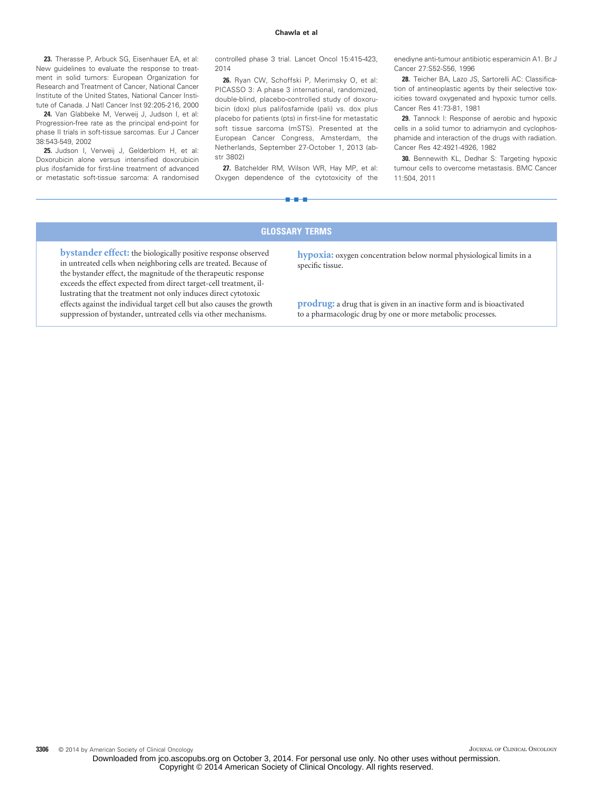23. Therasse P, Arbuck SG, Eisenhauer EA, et al: New guidelines to evaluate the response to treatment in solid tumors: European Organization for Research and Treatment of Cancer, National Cancer Institute of the United States, National Cancer Institute of Canada. J Natl Cancer Inst 92:205-216, 2000

**24.** Van Glabbeke M, Verweij J, Judson I, et al: Progression-free rate as the principal end-point for phase II trials in soft-tissue sarcomas. Eur J Cancer 38:543-549, 2002

**25.** Judson I, Verweij J, Gelderblom H, et al: Doxorubicin alone versus intensified doxorubicin plus ifosfamide for first-line treatment of advanced or metastatic soft-tissue sarcoma: A randomised

controlled phase 3 trial. Lancet Oncol 15:415-423, 2014

**26.** Ryan CW, Schoffski P, Merimsky O, et al: PICASSO 3: A phase 3 international, randomized, double-blind, placebo-controlled study of doxorubicin (dox) plus palifosfamide (pali) vs. dox plus placebo for patients (pts) in first-line for metastatic soft tissue sarcoma (mSTS). Presented at the European Cancer Congress, Amsterdam, the Netherlands, September 27-October 1, 2013 (abstr 3802)

**27.** Batchelder RM, Wilson WR, Hay MP, et al: Oxygen dependence of the cytotoxicity of the

■■■

enediyne anti-tumour antibiotic esperamicin A1. Br J Cancer 27:S52-S56, 1996

**28.** Teicher BA, Lazo JS, Sartorelli AC: Classification of antineoplastic agents by their selective toxicities toward oxygenated and hypoxic tumor cells. Cancer Res 41:73-81, 1981

**29.** Tannock I: Response of aerobic and hypoxic cells in a solid tumor to adriamycin and cyclophosphamide and interaction of the drugs with radiation. Cancer Res 42:4921-4926, 1982

**30.** Bennewith KL, Dedhar S: Targeting hypoxic tumour cells to overcome metastasis. BMC Cancer 11:504, 2011

## **GLOSSARY TERMS**

**bystander effect:** the biologically positive response observed in untreated cells when neighboring cells are treated. Because of the bystander effect, the magnitude of the therapeutic response exceeds the effect expected from direct target-cell treatment, illustrating that the treatment not only induces direct cytotoxic effects against the individual target cell but also causes the growth suppression of bystander, untreated cells via other mechanisms.

**hypoxia:** oxygen concentration below normal physiological limits in a specific tissue.

**prodrug:** a drug that is given in an inactive form and is bioactivated to a pharmacologic drug by one or more metabolic processes.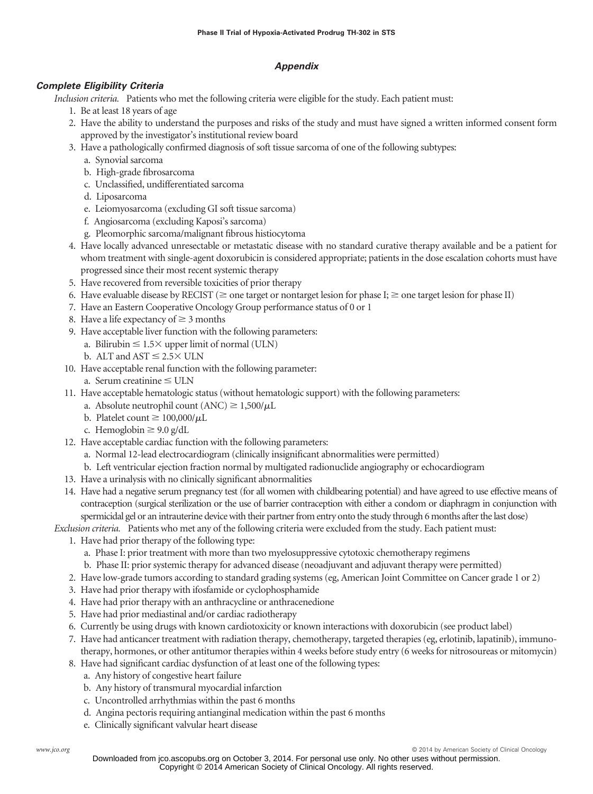# *Appendix*

# *Complete Eligibility Criteria*

*Inclusion criteria.* Patients who met the following criteria were eligible for the study. Each patient must:

- 1. Be at least 18 years of age
- 2. Have the ability to understand the purposes and risks of the study and must have signed a written informed consent form approved by the investigator's institutional review board
- 3. Have a pathologically confirmed diagnosis of soft tissue sarcoma of one of the following subtypes:
	- a. Synovial sarcoma
		- b. High-grade fibrosarcoma
		- c. Unclassified, undifferentiated sarcoma
		- d. Liposarcoma
		- e. Leiomyosarcoma (excluding GI soft tissue sarcoma)
		- f. Angiosarcoma (excluding Kaposi's sarcoma)
		- g. Pleomorphic sarcoma/malignant fibrous histiocytoma
- 4. Have locally advanced unresectable or metastatic disease with no standard curative therapy available and be a patient for whom treatment with single-agent doxorubicin is considered appropriate; patients in the dose escalation cohorts must have progressed since their most recent systemic therapy
- 5. Have recovered from reversible toxicities of prior therapy
- 6. Have evaluable disease by RECIST ( $\geq$  one target or nontarget lesion for phase I;  $\geq$  one target lesion for phase II)
- 7. Have an Eastern Cooperative Oncology Group performance status of 0 or 1
- 8. Have a life expectancy of  $\geq$  3 months
- 9. Have acceptable liver function with the following parameters:
	- a. Bilirubin  $\leq 1.5 \times$  upper limit of normal (ULN)
	- b. ALT and  $AST \leq 2.5 \times ULN$
- 10. Have acceptable renal function with the following parameter:
	- a. Serum creatinine  $\leq$  ULN
- 11. Have acceptable hematologic status (without hematologic support) with the following parameters:
	- a. Absolute neutrophil count  $(ANC) \ge 1,500/μL$
	- b. Platelet count  $\geq 100,000/\mu L$
	- c. Hemoglobin  $\geq 9.0$  g/dL
- 12. Have acceptable cardiac function with the following parameters:
	- a. Normal 12-lead electrocardiogram (clinically insignificant abnormalities were permitted)
	- b. Left ventricular ejection fraction normal by multigated radionuclide angiography or echocardiogram
- 13. Have a urinalysis with no clinically significant abnormalities
- 14. Have had a negative serum pregnancy test (for all women with childbearing potential) and have agreed to use effective means of contraception (surgical sterilization or the use of barrier contraception with either a condom or diaphragm in conjunction with spermicidal gel or an intrauterine device with their partner from entry onto the study through 6 months after the last dose)

*Exclusion criteria.* Patients who met any of the following criteria were excluded from the study. Each patient must:

- 1. Have had prior therapy of the following type:
	- a. Phase I: prior treatment with more than two myelosuppressive cytotoxic chemotherapy regimens
	- b. Phase II: prior systemic therapy for advanced disease (neoadjuvant and adjuvant therapy were permitted)
	- 2. Have low-grade tumors according to standard grading systems (eg, American Joint Committee on Cancer grade 1 or 2)
- 3. Have had prior therapy with ifosfamide or cyclophosphamide
- 4. Have had prior therapy with an anthracycline or anthracenedione
- 5. Have had prior mediastinal and/or cardiac radiotherapy
- 6. Currently be using drugs with known cardiotoxicity or known interactions with doxorubicin (see product label)
- 7. Have had anticancer treatment with radiation therapy, chemotherapy, targeted therapies (eg, erlotinib, lapatinib), immunotherapy, hormones, or other antitumor therapies within 4 weeks before study entry (6 weeks for nitrosoureas or mitomycin)
- 8. Have had significant cardiac dysfunction of at least one of the following types:
	- a. Any history of congestive heart failure
	- b. Any history of transmural myocardial infarction
	- c. Uncontrolled arrhythmias within the past 6 months
	- d. Angina pectoris requiring antianginal medication within the past 6 months
	- e. Clinically significant valvular heart disease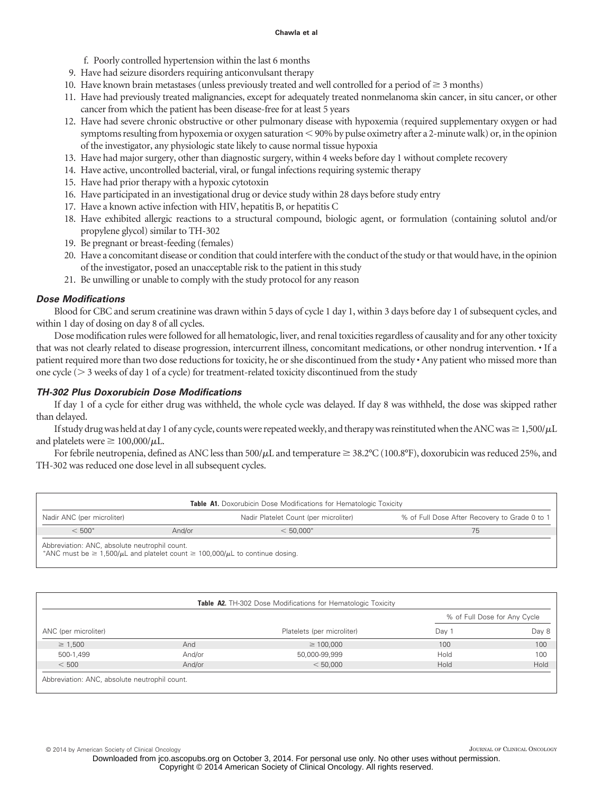- f. Poorly controlled hypertension within the last 6 months
- 9. Have had seizure disorders requiring anticonvulsant therapy
- 10. Have known brain metastases (unless previously treated and well controlled for a period of  $\geq$  3 months)
- 11. Have had previously treated malignancies, except for adequately treated nonmelanoma skin cancer, in situ cancer, or other cancer from which the patient has been disease-free for at least 5 years
- 12. Have had severe chronic obstructive or other pulmonary disease with hypoxemia (required supplementary oxygen or had symptoms resulting from hypoxemia or oxygen saturation  $<$  90% by pulse oximetry after a 2-minute walk) or, in the opinion of the investigator, any physiologic state likely to cause normal tissue hypoxia
- 13. Have had major surgery, other than diagnostic surgery, within 4 weeks before day 1 without complete recovery
- 14. Have active, uncontrolled bacterial, viral, or fungal infections requiring systemic therapy
- 15. Have had prior therapy with a hypoxic cytotoxin
- 16. Have participated in an investigational drug or device study within 28 days before study entry
- 17. Have a known active infection with HIV, hepatitis B, or hepatitis C
- 18. Have exhibited allergic reactions to a structural compound, biologic agent, or formulation (containing solutol and/or propylene glycol) similar to TH-302
- 19. Be pregnant or breast-feeding (females)
- 20. Have a concomitant disease or condition that could interfere with the conduct of the study or that would have, in the opinion of the investigator, posed an unacceptable risk to the patient in this study
- 21. Be unwilling or unable to comply with the study protocol for any reason

# *Dose Modifications*

Blood for CBC and serum creatinine was drawn within 5 days of cycle 1 day 1, within 3 days before day 1 of subsequent cycles, and within 1 day of dosing on day 8 of all cycles.

Dose modification rules were followed for all hematologic, liver, and renal toxicities regardless of causality and for any other toxicity that was not clearly related to disease progression, intercurrent illness, concomitant medications, or other nondrug intervention. • If a patient required more than two dose reductions for toxicity, he or she discontinued from the study • Any patient who missed more than one cycle ( $>$  3 weeks of day 1 of a cycle) for treatment-related toxicity discontinued from the study

# *TH-302 Plus Doxorubicin Dose Modifications*

If day 1 of a cycle for either drug was withheld, the whole cycle was delayed. If day 8 was withheld, the dose was skipped rather than delayed.

If study drug was held at day 1 of any cycle, counts were repeated weekly, and therapy was reinstituted when the ANC was  $\geq 1,500/\mu L$ and platelets were  $\geq 100,000/\mu L$ .

For febrile neutropenia, defined as ANC less than  $500/\mu$ L and temperature  $\geq 38.2^{\circ}C(100.8^{\circ}F)$ , doxorubicin was reduced 25%, and TH-302 was reduced one dose level in all subsequent cycles.

| <b>Table A1.</b> Doxorubicin Dose Modifications for Hematologic Toxicity |        |                                       |                                               |  |  |
|--------------------------------------------------------------------------|--------|---------------------------------------|-----------------------------------------------|--|--|
| Nadir ANC (per microliter)                                               |        | Nadir Platelet Count (per microliter) | % of Full Dose After Recovery to Grade 0 to 1 |  |  |
| $< 500*$                                                                 | And/or | $< 50.000*$                           |                                               |  |  |
| Abbreviation: ANC absolute neutrophil count                              |        |                                       |                                               |  |  |

Abbreviation: ANC, absolute neutrophil count.<br>\*ANC must be ≥ 1,500/µL and platelet count ≥ 100,000/µL to continue dosing.

|                      |        |                            | % of Full Dose for Any Cycle |       |  |
|----------------------|--------|----------------------------|------------------------------|-------|--|
| ANC (per microliter) |        | Platelets (per microliter) | Day 1                        | Day 8 |  |
| $\geq 1,500$         | And    | $\geq 100.000$             | 100                          | 100   |  |
| 500-1,499            | And/or | 50,000-99,999              | Hold                         | 100   |  |
| < 500                | And/or | < 50,000                   | Hold                         | Hold  |  |

© 2014 by American Society of Clinical Oncology JOURNAL OF CLINICAL ONCOLOGY